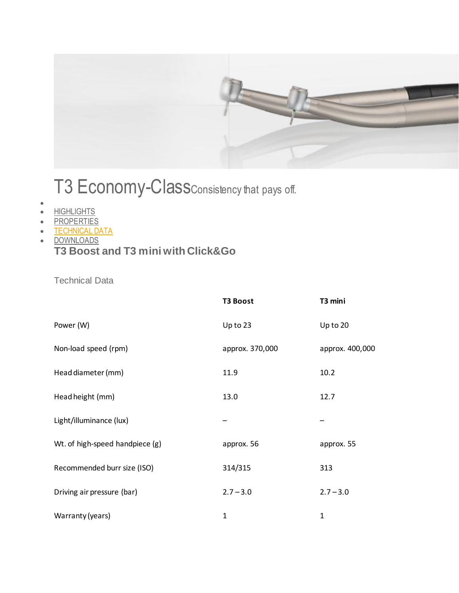

## T3 Economy-ClassConsistency that pays off.

- $\bullet$
- **[HIGHLIGHTS](http://www.sironausa.com/us/products/instruments/t3-economy-class/?tab=298)**
- **[PROPERTIES](http://www.sironausa.com/us/products/instruments/t3-economy-class/?tab=299)**
- **[TECHNICAL DATA](http://www.sironausa.com/us/products/instruments/t3-economy-class/?tab=300)**
- **[DOWNLOADS](http://www.sironausa.com/us/products/instruments/t3-economy-class/?tab=301)**

## **T3 Boost and T3 mini with Click&Go**

Technical Data

|                                 | <b>T3 Boost</b> | T3 mini         |
|---------------------------------|-----------------|-----------------|
| Power (W)                       | Up to 23        | Up to 20        |
| Non-load speed (rpm)            | approx. 370,000 | approx. 400,000 |
| Head diameter (mm)              | 11.9            | 10.2            |
| Head height (mm)                | 13.0            | 12.7            |
| Light/illuminance (lux)         |                 |                 |
| Wt. of high-speed handpiece (g) | approx. 56      | approx. 55      |
| Recommended burr size (ISO)     | 314/315         | 313             |
| Driving air pressure (bar)      | $2.7 - 3.0$     | $2.7 - 3.0$     |
| Warranty (years)                | 1               | $\mathbf{1}$    |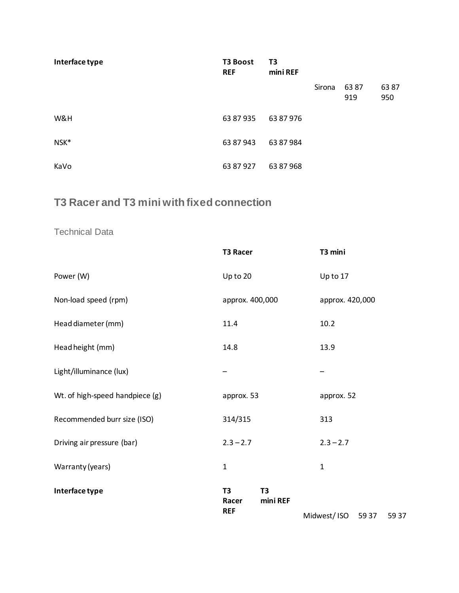| Interface type | <b>T3 Boost</b><br><b>REF</b> | T3<br>mini REF |        |             |             |
|----------------|-------------------------------|----------------|--------|-------------|-------------|
|                |                               |                | Sirona | 6387<br>919 | 6387<br>950 |
| W&H            | 63 87 935                     | 63 87 976      |        |             |             |
| NSK*           | 63 87 943                     | 63 87 984      |        |             |             |
| KaVo           | 63 87 927                     | 63 87 968      |        |             |             |

## **T3 Racer and T3 mini with fixed connection**

## Technical Data

|                                 | <b>T3 Racer</b>         |                            | T3 mini         |       |       |
|---------------------------------|-------------------------|----------------------------|-----------------|-------|-------|
| Power (W)                       | Up to 20                |                            | Up to 17        |       |       |
| Non-load speed (rpm)            | approx. 400,000         |                            | approx. 420,000 |       |       |
| Head diameter (mm)              | 11.4                    |                            | 10.2            |       |       |
| Head height (mm)                | 14.8                    |                            | 13.9            |       |       |
| Light/illuminance (lux)         |                         |                            |                 |       |       |
| Wt. of high-speed handpiece (g) | approx. 53              |                            | approx. 52      |       |       |
| Recommended burr size (ISO)     | 314/315                 |                            | 313             |       |       |
| Driving air pressure (bar)      | $2.3 - 2.7$             |                            | $2.3 - 2.7$     |       |       |
| Warranty (years)                | $\mathbf{1}$            |                            | $\mathbf{1}$    |       |       |
| Interface type                  | T <sub>3</sub><br>Racer | T <sub>3</sub><br>mini REF |                 |       |       |
|                                 | <b>REF</b>              |                            | Midwest/ISO     | 59 37 | 59 37 |